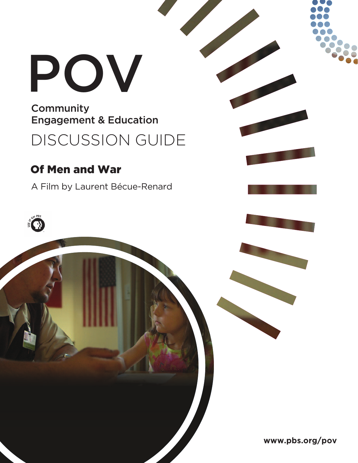# POV

**Community** Engagement & Education

DISCUSSION GUIDE

## Of Men and War

A Film by Laurent Bécue-Renard



**www.pbs.org/pov**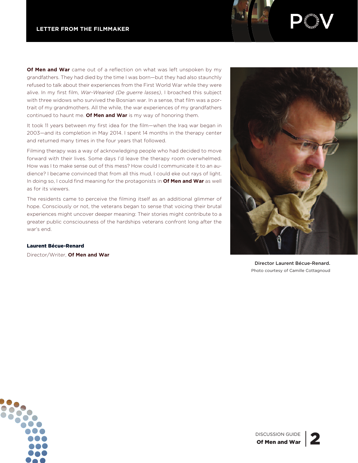**Of Men and War** came out of a reflection on what was left unspoken by my grandfathers. They had died by the time I was born—but they had also staunchly refused to talk about their experiences from the First World War while they were alive. In my first film, *War-Wearied (De guerre lasses)*, I broached this subject with three widows who survived the Bosnian war. In a sense, that film was a portrait of my grandmothers. All the while, the war experiences of my grandfathers continued to haunt me. **Of Men and War** is my way of honoring them.

It took 11 years between my first idea for the film—when the Iraq war began in 2003—and its completion in May 2014. I spent 14 months in the therapy center and returned many times in the four years that followed.

Filming therapy was a way of acknowledging people who had decided to move forward with their lives. Some days I'd leave the therapy room overwhelmed. How was I to make sense out of this mess? How could I communicate it to an audience? I became convinced that from all this mud, I could eke out rays of light. In doing so, I could find meaning for the protagonists in **Of Men and War** as well as for its viewers.

The residents came to perceive the filming itself as an additional glimmer of hope. Consciously or not, the veterans began to sense that voicing their brutal experiences might uncover deeper meaning: Their stories might contribute to a greater public consciousness of the hardships veterans confront long after the war's end.

Laurent Bécue-Renard

Director/Writer, **Of Men and War**



Director Laurent Bécue-Renard. Photo courtesy of Camille Cottagnoud

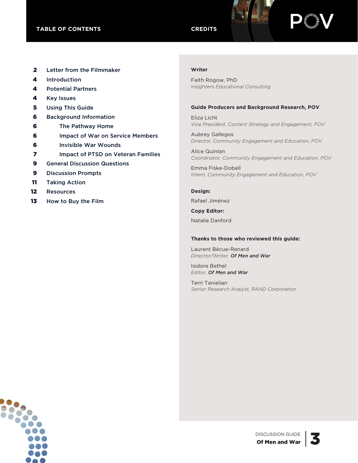

- 2 Letter from the Filmmaker
- 4 Introduction
- 4 Potential Partners
- 4 Key Issues
- **5** Using This Guide
- 6 Background Information
- 6 The Pathway Home
- 6 Impact of War on Service Members
- 6 Invisible War Wounds
- **7** Impact of PTSD on Veteran Families
- **9** General Discussion Questions
- 9 Discussion Prompts
- 11 Taking Action
- 12 Resources
- 13 How to Buy the Film

#### **Writer**

Faith Rogow, PhD *Insighters Educational Consulting*

#### **Guide Producers and Background Research, POV**

Eliza Licht *Vice President, Content Strategy and Engagement, POV*

Aubrey Gallegos *Director, Community Engagement and Education, POV*

Alice Quinlan *Coordinator, Community Engagement and Education, POV*

Emma Fiske-Dobell *Intern, Community Engagement and Education, POV*

#### **Design:**

Rafael Jiménez

**Copy Editor:**

Natalie Danford

#### **Thanks to those who reviewed this guide:**

Laurent Bécue-Renard *Director/Writer, Of Men and War*

Isidore Bethel *Editor, Of Men and War*

Terri Tanielian *Senior Research Analyst, RAND Corporation*

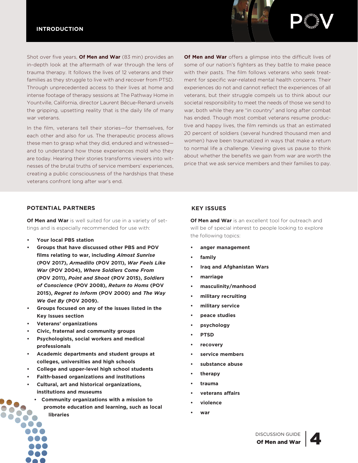#### **INTRODUCTION**



In the film, veterans tell their stories—for themselves, for each other and also for us. The therapeutic process allows these men to grasp what they did, endured and witnessed and to understand how those experiences mold who they are today. Hearing their stories transforms viewers into witnesses of the brutal truths of service members' experiences, creating a public consciousness of the hardships that these veterans confront long after war's end.

**Of Men and War** offers a glimpse into the difficult lives of some of our nation's fighters as they battle to make peace with their pasts. The film follows veterans who seek treatment for specific war-related mental health concerns. Their experiences do not and cannot reflect the experiences of all veterans, but their struggle compels us to think about our societal responsibility to meet the needs of those we send to war, both while they are "in country" and long after combat has ended. Though most combat veterans resume productive and happy lives, the film reminds us that an estimated 20 percent of soldiers (several hundred thousand men and women) have been traumatized in ways that make a return to normal life a challenge. Viewing gives us pause to think about whether the benefits we gain from war are worth the price that we ask service members and their families to pay.

#### **POTENTIAL PARTNERS KEY ISSUES**

**Of Men and War** is well suited for use in a variety of settings and is especially recommended for use with:

- **• Your local PBS station**
- **• Groups that have discussed other PBS and POV films relating to war, including** *Almost Sunrise* **(POV 2017),** *Armadillo* **(POV 2011),** *War Feels Like War* **(POV 2004),** *Where Soldiers Come From* **(POV 2011),** *Point and Shoot* **(POV 2015),** *Soldiers of Conscience* **(POV 2008),** *Return to Homs* **(POV 2015),** *Regret to Inform* **(POV 2000) and** *The Way We Get By* **(POV 2009).**
- **• Groups focused on any of the issues listed in the Key Issues section**
- **• Veterans' organizations**
- **• Civic, fraternal and community groups**
- **• Psychologists, social workers and medical professionals**
- **• Academic departments and student groups at colleges, universities and high schools**
- **• College and upper-level high school students**
- **• Faith-based organizations and institutions**
- **• Cultural, art and historical organizations, institutions and museums**
	- **• Community organizations with a mission to**
		- **promote education and learning, such as local libraries**

**Of Men and War** is an excellent tool for outreach and will be of special interest to people looking to explore the following topics:

- **• anger management**
- **• family**
- **• Iraq and Afghanistan Wars**
- **• marriage**
- **• masculinity/manhood**
- **• military recruiting**
- **• military service**
- **• peace studies**
- **• psychology**
- **• PTSD**
- **• recovery**
- **• service members**
- **• substance abuse**
- **• therapy**
- **• trauma**
- **• veterans affairs**
- **• violence**
- **• war**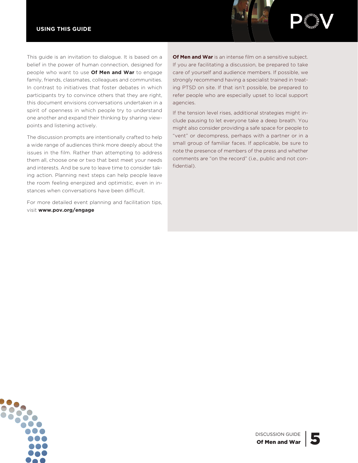#### **USING THIS GUIDE**



This guide is an invitation to dialogue. It is based on a belief in the power of human connection, designed for people who want to use **Of Men and War** to engage family, friends, classmates, colleagues and communities. In contrast to initiatives that foster debates in which participants try to convince others that they are right, this document envisions conversations undertaken in a spirit of openness in which people try to understand one another and expand their thinking by sharing viewpoints and listening actively.

The discussion prompts are intentionally crafted to help a wide range of audiences think more deeply about the issues in the film. Rather than attempting to address them all, choose one or two that best meet your needs and interests. And be sure to leave time to consider taking action. Planning next steps can help people leave the room feeling energized and optimistic, even in instances when conversations have been difficult.

For more detailed event planning and facilitation tips, visit **www.pov.org/engage**

**Of Men and War** is an intense film on a sensitive subject. If you are facilitating a discussion, be prepared to take care of yourself and audience members. If possible, we strongly recommend having a specialist trained in treating PTSD on site. If that isn't possible, be prepared to refer people who are especially upset to local support agencies.

If the tension level rises, additional strategies might include pausing to let everyone take a deep breath. You might also consider providing a safe space for people to "vent" or decompress, perhaps with a partner or in a small group of familiar faces. If applicable, be sure to note the presence of members of the press and whether comments are "on the record" (i.e., public and not confidential).



DISCUSSION GUIDE<br>Of Men and War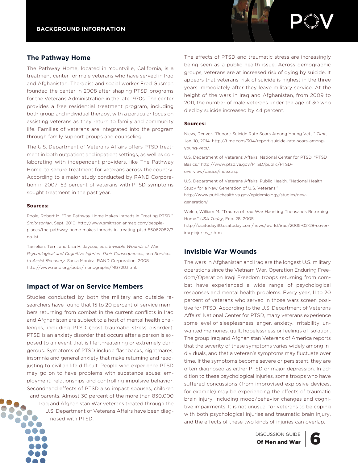#### **The Pathway Home**

The Pathway Home, located in Yountville, California, is a treatment center for male veterans who have served in Iraq and Afghanistan. Therapist and social worker Fred Gusman founded the center in 2008 after shaping PTSD programs for the Veterans Administration in the late 1970s. The center provides a free residential treatment program, including both group and individual therapy, with a particular focus on assisting veterans as they return to family and community life. Families of veterans are integrated into the program through family support groups and counseling.

The U.S. Department of Veterans Affairs offers PTSD treatment in both outpatient and inpatient settings, as well as collaborating with independent providers, like The Pathway Home, to secure treatment for veterans across the country. According to a major study conducted by RAND Corporation in 2007, 53 percent of veterans with PTSD symptoms sought treatment in the past year.

#### **Sources:**

Poole, Robert M. "The Pathway Home Makes Inroads in Treating PTSD." *Smithsonian*, Sept. 2010. http://www.smithsonianmag.com/peopleplaces/the-pathway-home-makes-inroads-in-treating-ptsd-55062082/? no-ist.

Tanielian, Terri, and Lisa H. Jaycox, eds. *Invisible Wounds of War: Psychological and Cognitive Injuries, Their Consequences, and Services to Assist Recovery*. Santa Monica: RAND Corporation, 2008. http://www.rand.org/pubs/monographs/MG720.html.

#### **Impact of War on Service Members**

Studies conducted by both the military and outside researchers have found that 15 to 20 percent of service members returning from combat in the current conflicts in Iraq and Afghanistan are subject to a host of mental health challenges, including PTSD (post traumatic stress disorder). PTSD is an anxiety disorder that occurs after a person is exposed to an event that is life-threatening or extremely dangerous. Symptoms of PTSD include flashbacks, nightmares, insomnia and general anxiety that make returning and readjusting to civilian life difficult. People who experience PTSD may go on to have problems with substance abuse; employment; relationships and controlling impulsive behavior. Secondhand effects of PTSD also impact spouses, children and parents. Almost 30 percent of the more than 830,000 Iraq and Afghanistan War veterans treated through the U.S. Department of Veterans Affairs have been diagnosed with PTSD.

The effects of PTSD and traumatic stress are increasingly being seen as a public health issue. Across demographic groups, veterans are at increased risk of dying by suicide. It appears that veterans' risk of suicide is highest in the three years immediately after they leave military service. At the height of the wars in Iraq and Afghanistan, from 2009 to 2011, the number of male veterans under the age of 30 who died by suicide increased by 44 percent.

#### **Sources:**

Nicks, Denver. "Report: Suicide Rate Soars Among Young Vets." *Time*, Jan. 10, 2014. http://time.com/304/report-suicide-rate-soars-amongyoung-vets/.

U.S. Department of Veterans Affairs: National Center for PTSD. "PTSD Basics." http://www.ptsd.va.gov/PTSD/public/PTSDoverview/basics/index.asp

U.S. Department of Veterans Affairs: Public Health. "National Health Study for a New Generation of U.S. Veterans." http://www.publichealth.va.gov/epidemiology/studies/newgeneration/

Welch, William M. "Trauma of Iraq War Haunting Thousands Returning Home." *USA Today*, Feb. 28, 2005.

http://usatoday30.usatoday.com/news/world/iraq/2005-02-28-coveriraq-injuries\_x.htm

#### **Invisible War Wounds**

The wars in Afghanistan and Iraq are the longest U.S. military operations since the Vietnam War. Operation Enduring Freedom/Operation Iraqi Freedom troops returning from combat have experienced a wide range of psychological responses and mental health problems. Every year, 11 to 20 percent of veterans who served in those wars screen positive for PTSD. According to the U.S. Department of Veterans Affairs' National Center for PTSD, many veterans experience some level of sleeplessness, anger, anxiety, irritability, unwanted memories, guilt, hopelessness or feelings of isolation. The group Iraq and Afghanistan Veterans of America reports that the severity of these symptoms varies widely among individuals, and that a veteran's symptoms may fluctuate over time. If the symptoms become severe or persistent, they are often diagnosed as either PTSD or major depression. In addition to these psychological injuries, some troops who have suffered concussions (from improvised explosive devices, for example) may be experiencing the effects of traumatic brain injury, including mood/behavior changes and cognitive impairments. It is not unusual for veterans to be coping with both psychological injuries and traumatic brain injury, and the effects of these two kinds of injuries can overlap.

DISCUSSION GUIDE | 6



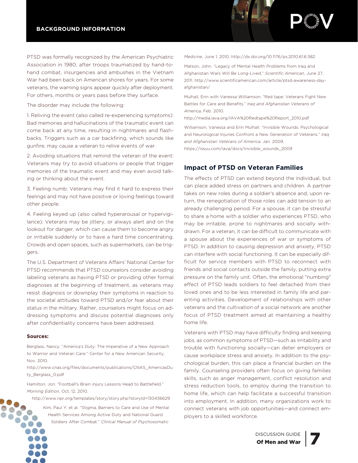PTSD was formally recognized by the American Psychiatric Association in 1980, after troops traumatized by hand-tohand combat, insurgencies and ambushes in the Vietnam War had been back on American shores for years. For some veterans, the warning signs appear quickly after deployment. For others, months or years pass before they surface.

The disorder may include the following:

1. Reliving the event (also called re-experiencing symptoms): Bad memories and hallucinations of the traumatic event can come back at any time, resulting in nightmares and flashbacks. Triggers such as a car backfiring, which sounds like gunfire, may cause a veteran to relive events of war.

2. Avoiding situations that remind the veteran of the event: Veterans may try to avoid situations or people that trigger memories of the traumatic event and may even avoid talking or thinking about the event.

3. Feeling numb: Veterans may find it hard to express their feelings and may not have positive or loving feelings toward other people.

4. Feeling keyed up (also called hyperarousal or hypervigilance): Veterans may be jittery, or always alert and on the lookout for danger, which can cause them to become angry or irritable suddenly or to have a hard time concentrating. Crowds and open spaces, such as supermarkets, can be triggers.

The U.S. Department of Veterans Affairs' National Center for PTSD recommends that PTSD counselors consider avoiding labeling veterans as having PTSD or providing other formal diagnoses at the beginning of treatment, as veterans may resist diagnosis or downplay their symptoms in reaction to the societal attitudes toward PTSD and/or fear about their status in the military. Rather, counselors might focus on addressing symptoms and discuss potential diagnoses only after confidentiality concerns have been addressed.

#### **Sources:**

Berglass, Nancy. "America's Duty: The Imperative of a New Approach to Warrior and Veteran Care." Center for a New American Security, Nov. 2010.

http://www.cnas.org/files/documents/publications/CNAS\_AmericasDu ty\_Berglass\_0.pdf

Hamilton, Jon. "Football's Brain injury Lessons Head to Battlefield." *Morning Edition*, Oct. 12, 2010.

http://www.npr.org/templates/story/story.php?storyId=130436629

Kim, Paul Y. et al. "Stigma, Barriers to Care and Use of Mental Health Services Among Active Duty and National Guard Soldiers After Combat." *Clinical Manual of Psychosomatic*

*Medicine*, June 1, 2010. http://dx.doi.org/10.1176/ps.2010.61.6.582

Matson, John. "Legacy of Mental Health Problems from Iraq and Afghanistan Wars Will Be Long-Lived." *Scientific American,* June 27, 2011. http://www.scientificamerican.com/article/ptsd-awareness-dayafghanistan/

Mulhall, Erin with Vanessa Williamson. "Red tape: Veterans Fight New Battles for Care and Benefits." *Iraq and Afghanistan Veterans of America,* Feb. 2010.

http://media.iava.org/IAVA%20Redtape%20Report\_2010.pdf

Williamson, Vanessa and Erin Mulhall. "Invisible Wounds: Psychological and Neurological Injuries Confront a New Generation of Veterans." *Iraq and Afghanistan Veterans of America*, Jan. 2009. https://issuu.com/iava/docs/invisible\_wounds\_2009

#### **Impact of PTSD on Veteran Families**

The effects of PTSD can extend beyond the individual, but can place added stress on partners and children. A partner takes on new roles during a soldier's absence and, upon return, the renegotiation of those roles can add tension to an already challenging period. For a spouse, it can be stressful to share a home with a soldier who experiences PTSD, who may be irritable, prone to nightmares and socially withdrawn. For a veteran, it can be difficult to communicate with a spouse about the experiences of war or symptoms of PTSD. In addition to causing depression and anxiety, PTSD can interfere with social functioning. It can be especially difficult for service members with PTSD to reconnect with friends and social contacts outside the family, putting extra pressure on the family unit. Often, the emotional "numbing" effect of PTSD leads soldiers to feel detached from their loved ones and to be less interested in family life and parenting activities. Development of relationships with other veterans and the cultivation of a social network are another focus of PTSD treatment aimed at maintaining a healthy home life.

Veterans with PTSD may have difficulty finding and keeping jobs, as common symptoms of PTSD—such as irritability and trouble with functioning socially—can deter employers or cause workplace stress and anxiety. In addition to the psychological burden, this can place a financial burden on the family. Counseling providers often focus on giving families skills, such as anger management, conflict resolution and stress reduction tools, to employ during the transition to home life, which can help facilitate a successful transition into employment. In addition, many organizations work to connect veterans with job opportunities—and connect employers to a skilled workforce.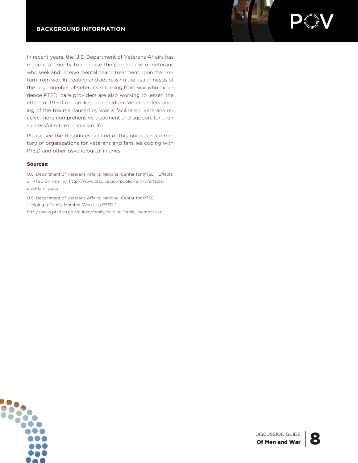In recent years, the U.S. Department of Veterans Affairs has made it a priority to increase the percentage of veterans who seek and receive mental health treatment upon their return from war. In treating and addressing the health needs of the large number of veterans returning from war who experience PTSD, care providers are also working to lessen the effect of PTSD on families and children. When understanding of the trauma caused by war is facilitated, veterans receive more comprehensive treatment and support for their successful return to civilian life.

Please see the Resources section of this guide for a directory of organizations for veterans and families coping with PTSD and other psychological injuries.

#### **Sources:**

U.S. Department of Veterans Affairs: National Center for PTSD. "Effects of PTSD on Family." http://www.ptsd.va.gov/public/family/effectsptsd-family.asp

U.S. Department of Veterans Affairs: National Center for PTSD. "Helping a Family Member Who Has PTSD." http://www.ptsd.va.gov/public/family/helping-family-member.asp



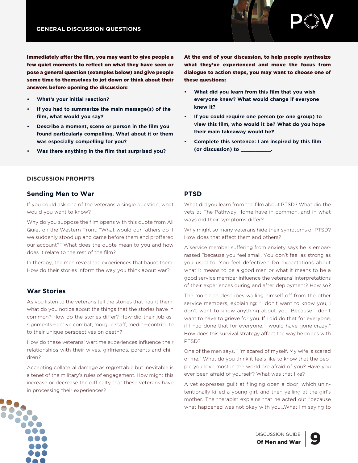



Immediately after the film, you may want to give people a few quiet moments to reflect on what they have seen or pose a general question (examples below) and give people some time to themselves to jot down or think about their answers before opening the discussion:

- **• What's your initial reaction?**
- **• If you had to summarize the main message(s) of the film, what would you say?**
- **• Describe a moment, scene or person in the film you found particularly compelling. What about it or them was especially compelling for you?**
- **• Was there anything in the film that surprised you?**

At the end of your discussion, to help people synthesize what they've experienced and move the focus from dialogue to action steps, you may want to choose one of these questions:

- **• What did you learn from this film that you wish everyone knew? What would change if everyone knew it?**
- **• If you could require one person (or one group) to view this film, who would it be? What do you hope their main takeaway would be?**
- **• Complete this sentence: I am inspired by this film (or discussion) to \_\_\_\_\_\_\_\_\_\_.**

#### **DISCUSSION PROMPTS**

#### **Sending Men to War**

If you could ask one of the veterans a single question, what would you want to know?

Why do you suppose the film opens with this quote from All Quiet on the Western Front: "What would our fathers do if we suddenly stood up and came before them and proffered our account?" What does the quote mean to you and how does it relate to the rest of the film?

In therapy, the men reveal the experiences that haunt them. How do their stories inform the way you think about war?

#### **War Stories**

As you listen to the veterans tell the stories that haunt them, what do you notice about the things that the stories have in common? How do the stories differ? How did their job assignments—active combat, morgue staff, medic—contribute to their unique perspectives on death?

How do these veterans' wartime experiences influence their relationships with their wives, girlfriends, parents and children?

Accepting collateral damage as regrettable but inevitable is a tenet of the military's rules of engagement. How might this increase or decrease the difficulty that these veterans have in processing their experiences?

#### **PTSD**

What did you learn from the film about PTSD? What did the vets at The Pathway Home have in common, and in what ways did their symptoms differ?

Why might so many veterans hide their symptoms of PTSD? How does that affect them and others?

A service member suffering from anxiety says he is embarrassed "because you feel small. You don't feel as strong as you used to. You feel defective." Do expectations about what it means to be a good man or what it means to be a good service member influence the veterans' interpretations of their experiences during and after deployment? How so?

The mortician describes walling himself off from the other service members, explaining: "I don't want to know you, I don't want to know anything about you. Because I don't want to have to grieve for you. If I did do that for everyone, if I had done that for everyone, I would have gone crazy." How does this survival strategy affect the way he copes with PTSD?

One of the men says, "I'm scared of myself. My wife is scared of me." What do you think it feels like to know that the people you love most in the world are afraid of you? Have you ever been afraid of yourself? What was that like?

A vet expresses guilt at flinging open a door, which unintentionally killed a young girl, and then yelling at the girl's mother. The therapist explains that he acted out "because what happened was not okay with you…What I'm saying to



DISCUSSION GUIDE | 9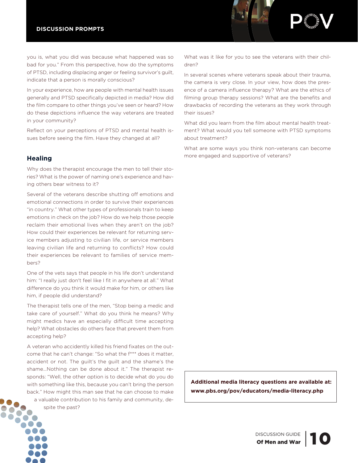



you is, what you did was because what happened was so bad for you." From this perspective, how do the symptoms of PTSD, including displacing anger or feeling survivor's guilt, indicate that a person is morally conscious?

In your experience, how are people with mental health issues generally and PTSD specifically depicted in media? How did the film compare to other things you've seen or heard? How do these depictions influence the way veterans are treated in your community?

Reflect on your perceptions of PTSD and mental health issues before seeing the film. Have they changed at all?

#### **Healing**

Why does the therapist encourage the men to tell their stories? What is the power of naming one's experience and having others bear witness to it?

Several of the veterans describe shutting off emotions and emotional connections in order to survive their experiences "in country." What other types of professionals train to keep emotions in check on the job? How do we help those people reclaim their emotional lives when they aren't on the job? How could their experiences be relevant for returning service members adjusting to civilian life, or service members leaving civilian life and returning to conflicts? How could their experiences be relevant to families of service members?

One of the vets says that people in his life don't understand him: "I really just don't feel like I fit in anywhere at all." What difference do you think it would make for him, or others like him, if people did understand?

The therapist tells one of the men, "Stop being a medic and take care of yourself." What do you think he means? Why might medics have an especially difficult time accepting help? What obstacles do others face that prevent them from accepting help?

A veteran who accidently killed his friend fixates on the outcome that he can't change: "So what the f\*\*\* does it matter, accident or not. The guilt's the guilt and the shame's the shame…Nothing can be done about it." The therapist responds: "Well, the other option is to decide what do you do with something like this, because you can't bring the person back." How might this man see that he can choose to make a valuable contribution to his family and community, de-

spite the past?

What was it like for you to see the veterans with their children?

In several scenes where veterans speak about their trauma, the camera is very close. In your view, how does the presence of a camera influence therapy? What are the ethics of filming group therapy sessions? What are the benefits and drawbacks of recording the veterans as they work through their issues?

What did you learn from the film about mental health treatment? What would you tell someone with PTSD symptoms about treatment?

What are some ways you think non-veterans can become more engaged and supportive of veterans?

**Additional media literacy questions are available at: www.pbs.org/pov/educators/media-literacy.php**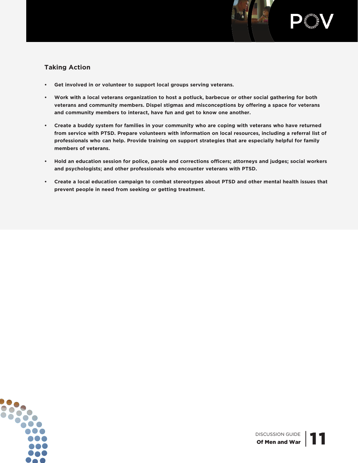



#### **Taking Action**

- **• Get involved in or volunteer to support local groups serving veterans.**
- . Work with a local veterans organization to host a potluck, barbecue or other social gathering for both **veterans and community members. Dispel stigmas and misconceptions by offering a space for veterans and community members to interact, have fun and get to know one another.**
- . Create a buddy system for families in your community who are coping with veterans who have returned **from service with PTSD. Prepare volunteers with information on local resources, including a referral list of professionals who can help. Provide training on support strategies that are especially helpful for family members of veterans.**
- **• Hold an education session for police, parole and corrections officers; attorneys and judges; social workers and psychologists; and other professionals who encounter veterans with PTSD.**
- **• Create a local education campaign to combat stereotypes about PTSD and other mental health issues that prevent people in need from seeking or getting treatment.**

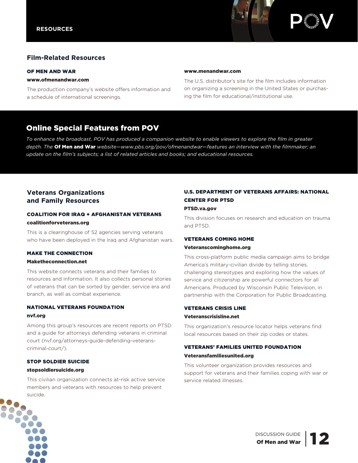

#### **Film-Related Resources**

#### OF MEN AND WAR

#### www.ofmenandwar.com

The production company's website offers information and a schedule of international screenings.

#### www.menandwar.com

The U.S. distributor's site for the film includes information on organizing a screening in the United States or purchasing the film for educational/institutional use.

### Online Special Features from POV

To enhance the broadcast, POV has produced a companion website to enable viewers to explore the film in greater *depth. The* Of Men and War *website—www.pbs.org/pov/ofmenandwar—features an interview with the filmmaker; an update on the film's subjects; a list of related articles and books; and educational resources.*

#### **Veterans Organizations and Family Resources**

#### COALITION FOR IRAQ + AFGHANISTAN VETERANS coalitionforveterans.org

This is a clearinghouse of 52 agencies serving veterans who have been deployed in the Iraq and Afghanistan wars.

#### MAKE THE CONNECTION

#### Maketheconnection.net

This website connects veterans and their families to resources and information. It also collects personal stories of veterans that can be sorted by gender, service era and branch, as well as combat experience.

#### NATIONAL VETERANS FOUNDATION nvf.org

Among this group's resources are recent reports on PTSD and a guide for attorneys defending veterans in criminal court (nvf.org/attorneys-guide-defending-veteranscriminal-court/).

## STOP SOLDIER SUICIDE

#### stopsoldiersuicide.org

This civilian organization connects at-risk active service members and veterans with resources to help prevent suicide.

#### U.S. DEPARTMENT OF VETERANS AFFAIRS: NATIONAL CENTER FOR PTSD

#### PTSD.va.gov

This division focuses on research and education on trauma and PTSD.

#### VETERANS COMING HOME

#### Veteranscominghome.org

This cross-platform public media campaign aims to bridge America's military-civilian divide by telling stories, challenging stereotypes and exploring how the values of service and citizenship are powerful connectors for all Americans. Produced by Wisconsin Public Television, in partnership with the Corporation for Public Broadcasting.

#### VETERANS CRISIS LINE Veteranscrisisline.net

This organization's resource locator helps veterans find local resources based on their zip codes or states.

#### VETERANS' FAMILIES UNITED FOUNDATION Veteransfamiliesunited.org

This volunteer organization provides resources and support for veterans and their families coping with war or service related illnesses.